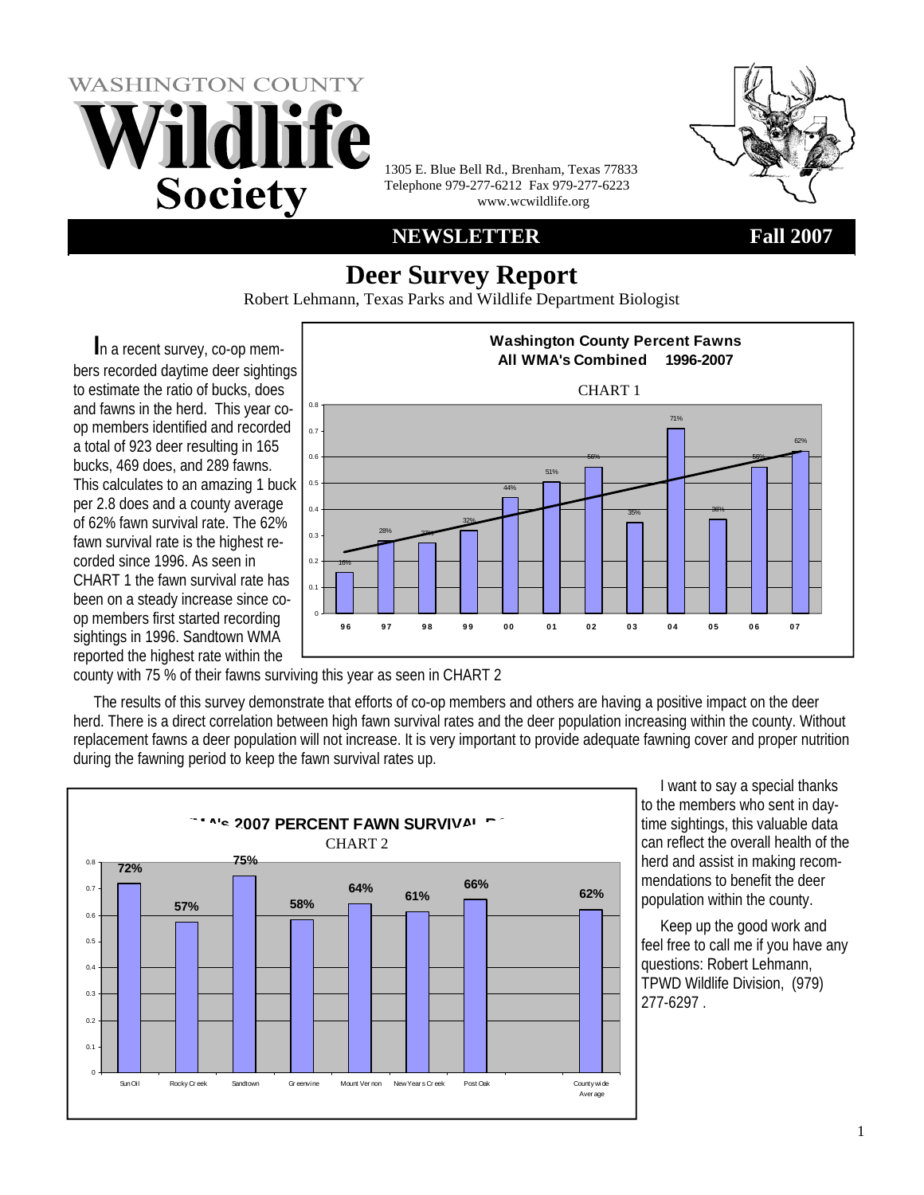



1305 E. Blue Bell Rd., Brenham, Texas 77833 Telephone 979-277-6212 Fax 979-277-6223 www.wcwildlife.org

#### **NEWSLETTER Fall 2007**

# **Deer Survey Report**

Robert Lehmann, Texas Parks and Wildlife Department Biologist

**I**n a recent survey, co-op members recorded daytime deer sightings to estimate the ratio of bucks, does and fawns in the herd. This year coop members identified and recorded a total of 923 deer resulting in 165 bucks, 469 does, and 289 fawns. This calculates to an amazing 1 buck per 2.8 does and a county average of 62% fawn survival rate. The 62% fawn survival rate is the highest recorded since 1996. As seen in CHART 1 the fawn survival rate has been on a steady increase since coop members first started recording sightings in 1996. Sandtown WMA reported the highest rate within the



county with 75 % of their fawns surviving this year as seen in CHART 2

The results of this survey demonstrate that efforts of co-op members and others are having a positive impact on the deer herd. There is a direct correlation between high fawn survival rates and the deer population increasing within the county. Without replacement fawns a deer population will not increase. It is very important to provide adequate fawning cover and proper nutrition during the fawning period to keep the fawn survival rates up.



 I want to say a special thanks to the members who sent in daytime sightings, this valuable data can reflect the overall health of the herd and assist in making recommendations to benefit the deer population within the county.

 Keep up the good work and feel free to call me if you have any questions: Robert Lehmann, TPWD Wildlife Division, (979) 277-6297 .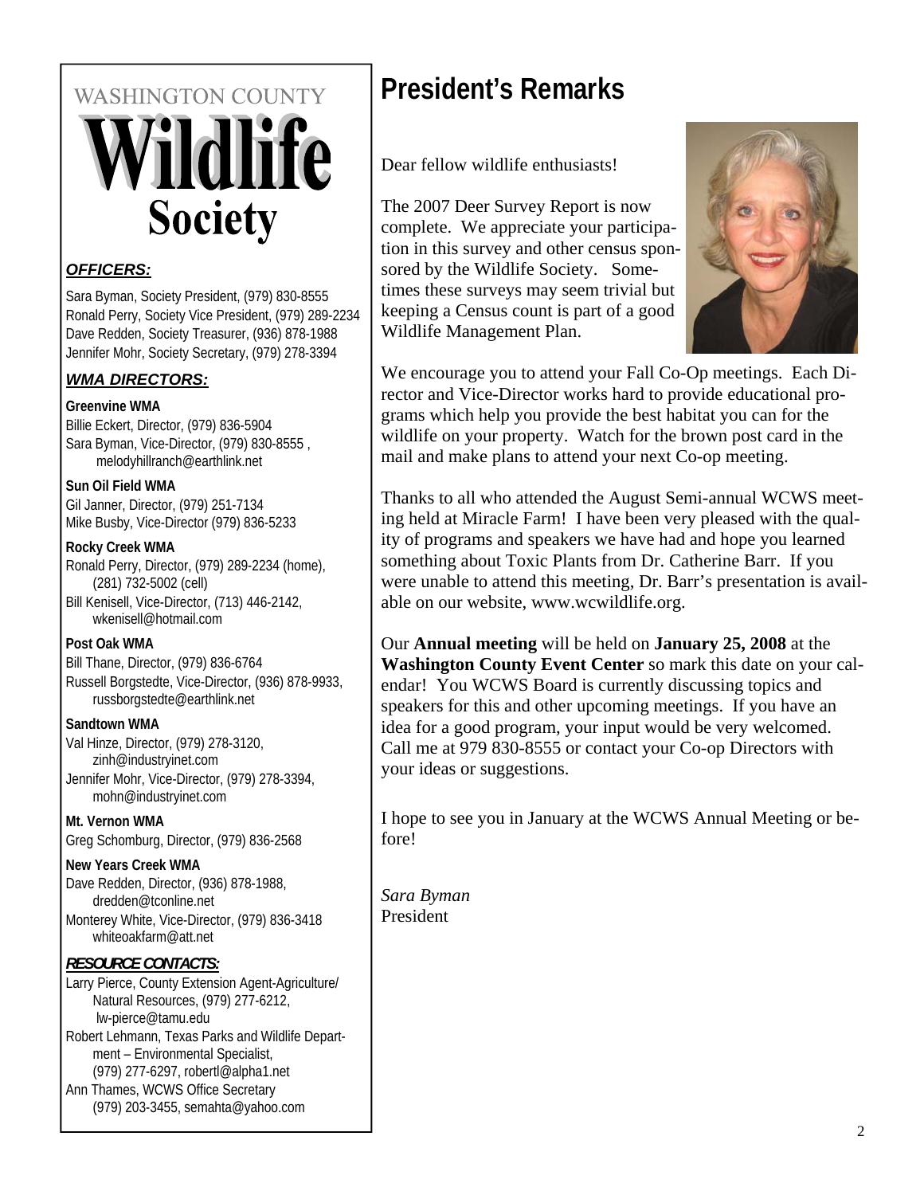# **WASHINGTON COUNTY ildlife Society**

#### *OFFICERS:*

Sara Byman, Society President, (979) 830-8555 Ronald Perry, Society Vice President, (979) 289-2234 Dave Redden, Society Treasurer, (936) 878-1988 Jennifer Mohr, Society Secretary, (979) 278-3394

#### *WMA DIRECTORS:*

#### **Greenvine WMA**

Billie Eckert, Director, (979) 836-5904 Sara Byman, Vice-Director, (979) 830-8555 , melodyhillranch@earthlink.net

#### **Sun Oil Field WMA**

Gil Janner, Director, (979) 251-7134 Mike Busby, Vice-Director (979) 836-5233

#### **Rocky Creek WMA**

Ronald Perry, Director, (979) 289-2234 (home), (281) 732-5002 (cell) Bill Kenisell, Vice-Director, (713) 446-2142, wkenisell@hotmail.com

#### **Post Oak WMA**

Bill Thane, Director, (979) 836-6764 Russell Borgstedte, Vice-Director, (936) 878-9933, russborgstedte@earthlink.net

#### **Sandtown WMA**

Val Hinze, Director, (979) 278-3120, zinh@industryinet.com Jennifer Mohr, Vice-Director, (979) 278-3394, mohn@industryinet.com

#### **Mt. Vernon WMA**

Greg Schomburg, Director, (979) 836-2568

#### **New Years Creek WMA**

Dave Redden, Director, (936) 878-1988, dredden@tconline.net Monterey White, Vice-Director, (979) 836-3418 whiteoakfarm@att.net

#### *RESOURCE CONTACTS:*

Larry Pierce, County Extension Agent-Agriculture/ Natural Resources, (979) 277-6212, lw-pierce@tamu.edu Robert Lehmann, Texas Parks and Wildlife Depart-

ment – Environmental Specialist, (979) 277-6297, robertl@alpha1.net

Ann Thames, WCWS Office Secretary (979) 203-3455, semahta@yahoo.com

# **President's Remarks**

Dear fellow wildlife enthusiasts!

The 2007 Deer Survey Report is now complete. We appreciate your participation in this survey and other census sponsored by the Wildlife Society. Sometimes these surveys may seem trivial but keeping a Census count is part of a good Wildlife Management Plan.



We encourage you to attend your Fall Co-Op meetings. Each Director and Vice-Director works hard to provide educational programs which help you provide the best habitat you can for the wildlife on your property. Watch for the brown post card in the mail and make plans to attend your next Co-op meeting.

Thanks to all who attended the August Semi-annual WCWS meeting held at Miracle Farm! I have been very pleased with the quality of programs and speakers we have had and hope you learned something about Toxic Plants from Dr. Catherine Barr. If you were unable to attend this meeting, Dr. Barr's presentation is available on our website, www.wcwildlife.org.

Our **Annual meeting** will be held on **January 25, 2008** at the **Washington County Event Center** so mark this date on your calendar! You WCWS Board is currently discussing topics and speakers for this and other upcoming meetings. If you have an idea for a good program, your input would be very welcomed. Call me at 979 830-8555 or contact your Co-op Directors with your ideas or suggestions.

I hope to see you in January at the WCWS Annual Meeting or before!

*Sara Byman* President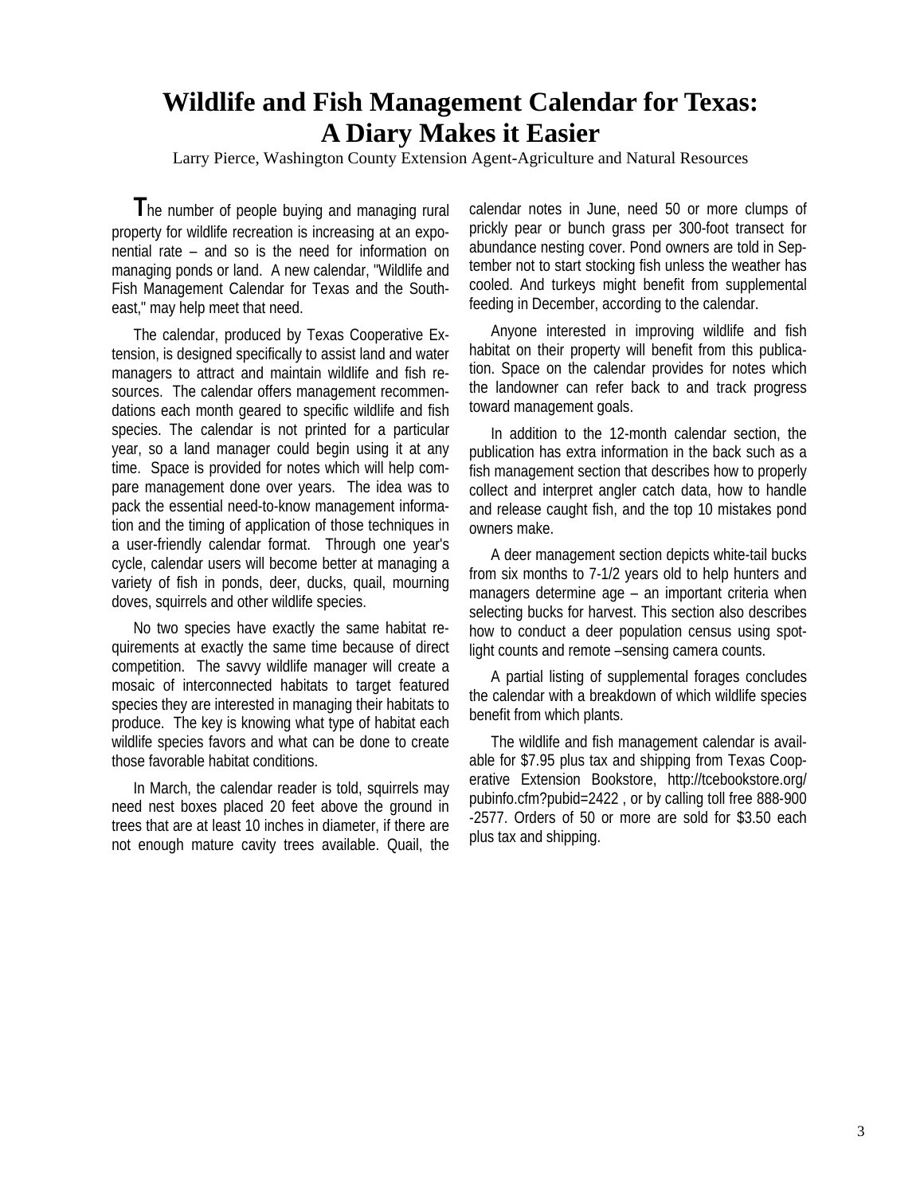# **Wildlife and Fish Management Calendar for Texas: A Diary Makes it Easier**

Larry Pierce, Washington County Extension Agent-Agriculture and Natural Resources

**T**he number of people buying and managing rural property for wildlife recreation is increasing at an exponential rate – and so is the need for information on managing ponds or land. A new calendar, "Wildlife and Fish Management Calendar for Texas and the Southeast," may help meet that need.

The calendar, produced by Texas Cooperative Extension, is designed specifically to assist land and water managers to attract and maintain wildlife and fish resources. The calendar offers management recommendations each month geared to specific wildlife and fish species. The calendar is not printed for a particular year, so a land manager could begin using it at any time. Space is provided for notes which will help compare management done over years. The idea was to pack the essential need-to-know management information and the timing of application of those techniques in a user-friendly calendar format. Through one year's cycle, calendar users will become better at managing a variety of fish in ponds, deer, ducks, quail, mourning doves, squirrels and other wildlife species.

No two species have exactly the same habitat requirements at exactly the same time because of direct competition. The savvy wildlife manager will create a mosaic of interconnected habitats to target featured species they are interested in managing their habitats to produce. The key is knowing what type of habitat each wildlife species favors and what can be done to create those favorable habitat conditions.

In March, the calendar reader is told, squirrels may need nest boxes placed 20 feet above the ground in trees that are at least 10 inches in diameter, if there are not enough mature cavity trees available. Quail, the

calendar notes in June, need 50 or more clumps of prickly pear or bunch grass per 300-foot transect for abundance nesting cover. Pond owners are told in September not to start stocking fish unless the weather has cooled. And turkeys might benefit from supplemental feeding in December, according to the calendar.

Anyone interested in improving wildlife and fish habitat on their property will benefit from this publication. Space on the calendar provides for notes which the landowner can refer back to and track progress toward management goals.

In addition to the 12-month calendar section, the publication has extra information in the back such as a fish management section that describes how to properly collect and interpret angler catch data, how to handle and release caught fish, and the top 10 mistakes pond owners make.

A deer management section depicts white-tail bucks from six months to 7-1/2 years old to help hunters and managers determine age – an important criteria when selecting bucks for harvest. This section also describes how to conduct a deer population census using spotlight counts and remote –sensing camera counts.

A partial listing of supplemental forages concludes the calendar with a breakdown of which wildlife species benefit from which plants.

The wildlife and fish management calendar is available for \$7.95 plus tax and shipping from Texas Cooperative Extension Bookstore, http://tcebookstore.org/ pubinfo.cfm?pubid=2422 , or by calling toll free 888-900 -2577. Orders of 50 or more are sold for \$3.50 each plus tax and shipping.